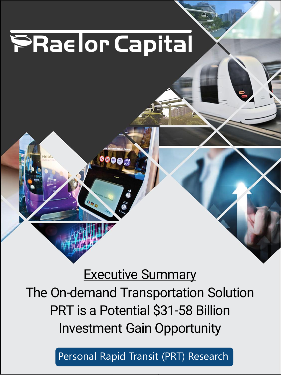**Advised** Capital-Raising Capital-Raising Consulting

## **Executive Summary** The On-demand Transportation Solution PRT is a Potential \$31-58 Billion Investment Gain Opportunity

Park City, Utah [www.praetor.capital](http://www.praetor.capital/) Request the Full Report (no fee) from jan@praetor.capital Series C 'Certified NFA *1* Personal Rapid Transit (PRT) Research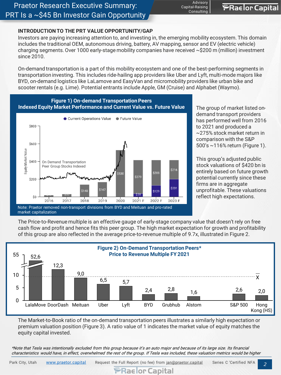#### **INTRODUCTION TO THE PRT VALUE OPPORTUNITY/GAP**

Investors are paying increasing attention to, and investing in, the emerging mobility ecosystem. This domain includes the traditional OEM, autonomous driving, battery, AV mapping, sensor and EV (electric vehicle) charging segments. Over 1000 early-stage mobility companies have received  $\sim$ \$200 m (million) investment since 2010.

On-demand transportation is a part of this mobility ecosystem and one of the best-performing segments in transportation investing. This includes ride-hailing app providers like Uber and Lyft, multi-mode majors like BYD, on-demand logistics like LaLamove and EasyVan and micromobility providers like urban bike and scooter rentals (e.g. Lime). Potential entrants include Apple, GM (Cruise) and Alphabet (Waymo).



The group of market listed ondemand transport providers has performed well from 2016 to 2021 and produced a ~275% stock market return in comparison with the S&P 500's ~116% return (Figure 1).

**PRaelor Capital** 

Advisory Capital-Raising Consulting

> This group's adjusted public stock valuations of \$420 bn is entirely based on future growth potential currently since these firms are in aggregate unprofitable. These valuations reflect high expectations.

The Price-to-Revenue multiple is an effective gauge of early-stage company value that doesn't rely on free cash flow and profit and hence fits this peer group. The high market expectation for growth and profitability of this group are also reflected in the average price-to-revenue multiple of 9.7x, illustrated in Figure 2.



The Market-to-Book ratio of the on-demand transportation peers illustrates a similarly high expectation or premium valuation position (Figure 3). A ratio value of 1 indicates the market value of equity matches the equity capital invested.

\*Note that Tesla was intentionally excluded from this group because it's an auto major and because of its large size. Its financial characteristics would have, in effect, overwhelmed the rest of the group. If Tesla was included, these valuation metrics would be higher

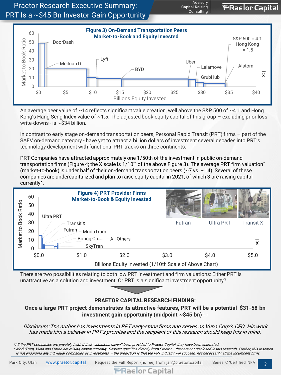



An average peer value of  $\sim$ 14 reflects significant value creation, well above the S&P 500 of  $\sim$ 4.1 and Hong Kong's Hang Seng Index value of  $\sim$  1.5. The adjusted book equity capital of this group – excluding prior loss write-downs - is ~\$34 billion.

In contrast to early stage on-demand transportation peers, Personal Rapid Transit (PRT) firms – part of the SAEV on-demand category - have yet to attract a billion dollars of investment several decades into PRT's technology development with functional PRT tracks on three continents.

PRT Companies have attracted approximately one 1/50th of the investment in public on-demand transportation firms (Figure 4; the X scale is  $1/10<sup>th</sup>$  of the above Figure 3). The average PRT firm valuation<sup>\*</sup> (market-to-book) is under half of their on-demand transportation peers (~7 vs. ~14). Several of these companies are undercapitalized and plan to raise equity capital in 2021, of which 3 are raising capital currently^.



There are two possibilities relating to both low PRT investment and firm valuations: Either PRT is unattractive as a solution and investment. Or PRT is a significant investment opportunity?



#### **PRAETOR CAPITAL RESEARCH FINDING:**

**Once a large PRT project demonstrates its attractive features, PRT will be a potential \$31-58 bn investment gain opportunity (midpoint ~\$45 bn)** 

Disclosure: The author has investments in PRT early-stage firms and serves as Vuba Corp's CFO. His work has made him a believer in PRT's promise and the recipient of this research should keep this in mind.

\*All the PRT companies are privately held. If their valuations haven't been provided to Praetor Capital, they have been estimated. ^ ModuTram, Vuba and Futran are raising capital currently. Request specifics directly from Praetor - they are not disclosed in this research. Further, this research is not endorsing any individual companies as investments – the prediction is that the PRT industry will succeed, not necessarily all the incumbent firms.

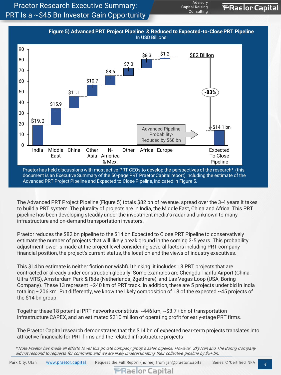Praetor Research Executive Summary: PRT Is a ~\$45 Bn Investor Gain Opportunity



**Advisory** Capital-Raising Consulting

**PRaelor Capital** 

The Advanced PRT Project Pipeline (Figure 5) totals \$82 bn of revenue, spread over the 3-4 years it takes to build a PRT system. The plurality of projects are in India, the Middle East, China and Africa. This PRT pipeline has been developing steadily under the investment media's radar and unknown to many infrastructure and on-demand transportation investors.

Praetor reduces the \$82 bn pipeline to the \$14 bn Expected to Close PRT Pipeline to conservatively estimate the number of projects that will likely break ground in the coming 3-5 years. This probability adjustment lower is made at the project level considering several factors including PRT company financial position, the project's current status, the location and the views of industry executives.

This \$14 bn estimate is neither fiction nor wishful thinking: it includes 13 PRT projects that are contracted or already under construction globally. Some examples are Chengdu Tianfu Airport (China, Ultra MTS), Amsterdam Park & Ride (Netherlands, 2getthere), and Las Vegas Loop (USA, Boring Company). These 13 represent ~240 km of PRT track. In addition, there are 5 projects under bid in India totaling ~206 km. Put differently, we know the likely composition of 18 of the expected ~45 projects of the \$14 bn group.

Together these 18 potential PRT networks constitute ~446 km, ~\$3.7+ bn of transportation infrastructure CAPEX, and an estimated \$210 million of operating profit for early-stage PRT firms.

The Praetor Capital research demonstrates that the \$14 bn of expected near-term projects translates into attractive financials for PRT firms and the related infrastructure projects.

\* Note Praetor has made all efforts to vet this private company group's sales pipeline. However, SkyTran and The Boring Company did not respond to requests for comment, and we are likely underestimating their collective pipeline by \$5+ bn.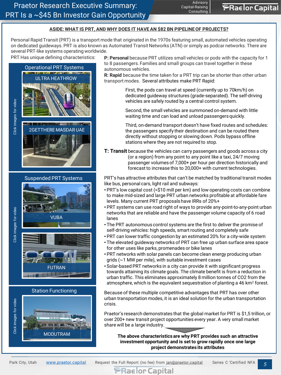#### **ASIDE: WHAT IS PRT, AND WHY DOES IT HAVE AN \$82 BN PIPELINE OF PROJECTS?**

Personal Rapid Transit (PRT) is a transport mode that originated in the 1970s featuring small, automated vehicles operating on dedicated guideways. PRT is also known as Automated Transit Networks (ATN) or simply as podcar networks. There are several PRT-like systems operating worldwide.



Click images for video Click images for video

Click images for video

Click images for video





Station Functioning



PRT Has unique defining characteristics: **P: Personal** because PRT utilizes small vehicles or pods with the capacity for 1 to 8 passengers. Families and small groups can travel together in these autonomous vehicles.

> **R: Rapid** because the time taken for a PRT trip can be shorter than other urban transport modes. Several attributes make PRT Rapid:

> > First, the pods can travel at speed (currently up to 70km/h) on dedicated guideway structures (grade-separated). The self-driving vehicles are safely routed by a central control system.

Second, the small vehicles are summoned on-demand with little waiting time and can load and unload passengers quickly.

Third, on-demand transport doesn't have fixed routes and schedules: the passengers specify their destination and can be routed there directly without stopping or slowing down. Pods bypass offline stations where they are not required to stop.

**T: Transit** because the vehicles can carry passengers and goods across a city (or a region) from any point to any point like a taxi, 24/7 moving passenger volumes of 7,000+ per hour per direction historically and forecast to increase this to 20,000+ with current technologies.

PRT's has attractive attributes that can't be matched by traditional transit modes like bus, personal cars, light rail and subways:

- PRT's low capital cost (<\$10 mill per km) and low operating costs can combine to make mid-sized and large PRT urban networks profitable at affordable fare levels. Many current PRT proposals have IRRs of 20%+
- PRT systems can use road right of ways to provide any-point-to-any-point urban networks that are reliable and have the passenger volume capacity of 6 road lanes
- The PRT autonomous control systems are the first to deliver the promise of self-driving vehicles: high speeds, smart routing and completely safe
- PRT can lower traffic congestion by an estimated 20% for a city-wide system
- The elevated guideway networks of PRT can free up urban surface area space for other uses like parks, promenades or bike lanes
- PRT networks with solar panels can become clean energy producing urban grids (~1 MW per mile), with suitable investment cases
- Solar-based PRT networks in a city can provide it with significant progress towards attaining its climate goals. The climate benefit is from a reduction in urban traffic. This eliminates approximately 8 million tonnes of CO2 from the atmosphere, which is the equivalent sequestration of planting a 46 km<sup>2</sup> forest.

Because of these multiple competitive advantages that PRT has over other urban transportation modes, it is an ideal solution for the urban transportation crisis.

Praetor's research demonstrates that the global market for PRT is \$1,5 trillion, or over 200+ new transit project opportunities every year. A very small market share will be a large industry.

**The above characteristics are why PRT provides such an attractive investment opportunity and is set to grow rapidly once one large project demonstrates its attributes**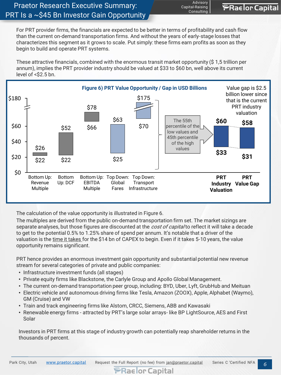For PRT provider firms, the financials are expected to be better in terms of profitability and cash flow than the current on-demand transportation firms. And without the years of early-stage losses that characterizes this segment as it grows to scale. Put simply: these firms earn profits as soon as they begin to build and operate PRT systems.

**Advisory** Capital-Raising Consulting

**PRaelor Capital** 

These attractive financials, combined with the enormous transit market opportunity (\$ 1,5 trillion per annum), implies the PRT provider industry should be valued at \$33 to \$60 bn, well above its current level of <\$2.5 bn.



The calculation of the value opportunity is illustrated in Figure 6.

The multiples are derived from the public on-demand transportation firm set. The market sizings are separate analyses, but those figures are discounted at the cost of capital to reflect it will take a decade to get to the potential 0.5% to 1.25% share of spend per annum. It's notable that a driver of the valuation is the time it takes for the \$14 bn of CAPEX to begin. Even if it takes 5-10 years, the value opportunity remains significant.

PRT hence provides an enormous investment gain opportunity and substantial potential new revenue stream for several categories of private and public companies:

- Infrastructure investment funds (all stages)
- Private equity firms like Blackstone, the Carlyle Group and Apollo Global Management.
- The current on-demand transportation peer group, including: BYD, Uber, Lyft, GrubHub and Meituan
- Electric vehicle and autonomous driving firms like Tesla, Amazon (ZOOX), Apple, Alphabet (Waymo), GM (Cruise) and VW
- Train and track engineering firms like Alstom, CRCC, Siemens, ABB and Kawasaki
- Renewable energy firms attracted by PRT's large solar arrays- like BP LightSource, AES and First Solar

Investors in PRT firms at this stage of industry growth can potentially reap shareholder returns in the thousands of percent.

Park City, Utah [www.praetor.capital](http://www.praetor.capital/) Request the Full Report (no fee) from jan@praetor.capital Series C 'Certified NFA 6

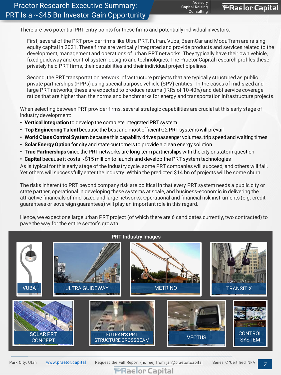There are two potential PRT entry points for these firms and potentially individual investors:

First, several of the PRT provider firms like Ultra PRT, Futran, Vuba, BeemCar and ModuTram are raising equity capital in 2021. These firms are vertically integrated and provide products and services related to the development, management and operations of urban PRT networks. They typically have their own vehicle, fixed guideway and control system designs and technologies. The Praetor Capital research profiles these privately held PRT firms, their capabilities and their individual project pipelines.

Second, the PRT transportation network infrastructure projects that are typically structured as public private partnerships (PPPs) using special purpose vehicle (SPV) entities. In the cases of mid-sized and large PRT networks, these are expected to produce returns (IRRs of 10-40%) and debt service coverage ratios that are higher than the norms and benchmarks for energy and transportation infrastructure projects.

When selecting between PRT provider firms, several strategic capabilities are crucial at this early stage of industry development:

- **Vertical Integration** to develop the complete integrated PRT system.
- **Top Engineering Talent** because the best and most efficient G2 PRT systems will prevail
- **World Class Control System** because this capability drives passenger volumes, trip speed and waiting times
- **Solar Energy Option** for city and state customers to provide a clean energy solution
- **True Partnerships** since the PRT networks are long-term partnerships with the city or state in question
- **Capital** because it costs ~\$15 million to launch and develop the PRT system technologies

As is typical for this early stage of the industry cycle, some PRT companies will succeed, and others will fail. Yet others will successfully enter the industry. Within the predicted \$14 bn of projects will be some churn.

The risks inherent to PRT beyond company risk are political in that every PRT system needs a public city or state partner, operational in developing these systems at scale, and business-economic in delivering the attractive financials of mid-sized and large networks. Operational and financial risk instruments (e.g. credit guarantees or sovereign guarantees) will play an important role in this regard.

Hence, we expect one large urban PRT project (of which there are 6 candidates currently, two contracted) to pave the way for the entire sector's growth.



**PRaelor Capital** 

Park City, Utah [www.praetor.capital](http://www.praetor.capital/) Request the Full Report (no fee) from jan@praetor.capital Series C 'Certified NFA